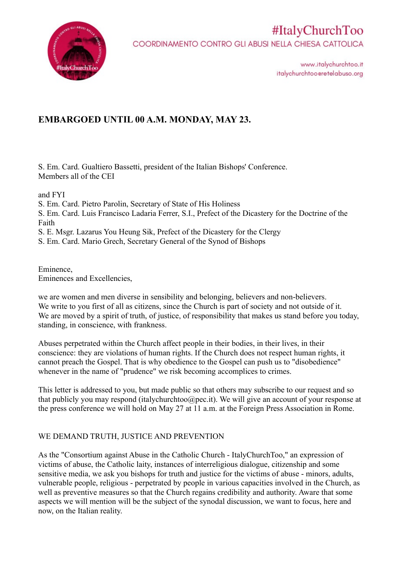

www.italychurchtoo.it italychurchtooeretelabuso.org

### **EMBARGOED UNTIL 00 A.M. MONDAY, MAY 23.**

S. Em. Card. Gualtiero Bassetti, president of the Italian Bishops' Conference. Members all of the CEI

and FYI

S. Em. Card. Pietro Parolin, Secretary of State of His Holiness

S. Em. Card. Luis Francisco Ladaria Ferrer, S.I., Prefect of the Dicastery for the Doctrine of the Faith

S. E. Msgr. Lazarus You Heung Sik, Prefect of the Dicastery for the Clergy

S. Em. Card. Mario Grech, Secretary General of the Synod of Bishops

Eminence, Eminences and Excellencies,

we are women and men diverse in sensibility and belonging, believers and non-believers. We write to you first of all as citizens, since the Church is part of society and not outside of it. We are moved by a spirit of truth, of justice, of responsibility that makes us stand before you today, standing, in conscience, with frankness.

Abuses perpetrated within the Church affect people in their bodies, in their lives, in their conscience: they are violations of human rights. If the Church does not respect human rights, it cannot preach the Gospel. That is why obedience to the Gospel can push us to "disobedience" whenever in the name of "prudence" we risk becoming accomplices to crimes.

This letter is addressed to you, but made public so that others may subscribe to our request and so that publicly you may respond (italychurchtoo@pec.it). We will give an account of your response at the press conference we will hold on May 27 at 11 a.m. at the Foreign Press Association in Rome.

#### WE DEMAND TRUTH, JUSTICE AND PREVENTION

As the "Consortium against Abuse in the Catholic Church - ItalyChurchToo," an expression of victims of abuse, the Catholic laity, instances of interreligious dialogue, citizenship and some sensitive media, we ask you bishops for truth and justice for the victims of abuse - minors, adults, vulnerable people, religious - perpetrated by people in various capacities involved in the Church, as well as preventive measures so that the Church regains credibility and authority. Aware that some aspects we will mention will be the subject of the synodal discussion, we want to focus, here and now, on the Italian reality.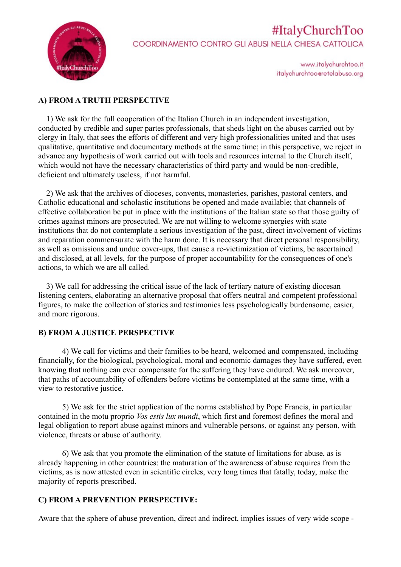

www.italychurchtoo.it italychurchtooeretelabuso.org

#### **A) FROM A TRUTH PERSPECTIVE**

 1) We ask for the full cooperation of the Italian Church in an independent investigation, conducted by credible and super partes professionals, that sheds light on the abuses carried out by clergy in Italy, that sees the efforts of different and very high professionalities united and that uses qualitative, quantitative and documentary methods at the same time; in this perspective, we reject in advance any hypothesis of work carried out with tools and resources internal to the Church itself, which would not have the necessary characteristics of third party and would be non-credible, deficient and ultimately useless, if not harmful.

 2) We ask that the archives of dioceses, convents, monasteries, parishes, pastoral centers, and Catholic educational and scholastic institutions be opened and made available; that channels of effective collaboration be put in place with the institutions of the Italian state so that those guilty of crimes against minors are prosecuted. We are not willing to welcome synergies with state institutions that do not contemplate a serious investigation of the past, direct involvement of victims and reparation commensurate with the harm done. It is necessary that direct personal responsibility, as well as omissions and undue cover-ups, that cause a re-victimization of victims, be ascertained and disclosed, at all levels, for the purpose of proper accountability for the consequences of one's actions, to which we are all called.

 3) We call for addressing the critical issue of the lack of tertiary nature of existing diocesan listening centers, elaborating an alternative proposal that offers neutral and competent professional figures, to make the collection of stories and testimonies less psychologically burdensome, easier, and more rigorous.

#### **B) FROM A JUSTICE PERSPECTIVE**

4) We call for victims and their families to be heard, welcomed and compensated, including financially, for the biological, psychological, moral and economic damages they have suffered, even knowing that nothing can ever compensate for the suffering they have endured. We ask moreover, that paths of accountability of offenders before victims be contemplated at the same time, with a view to restorative justice.

5) We ask for the strict application of the norms established by Pope Francis, in particular contained in the motu proprio *Vos estis lux mundi*, which first and foremost defines the moral and legal obligation to report abuse against minors and vulnerable persons, or against any person, with violence, threats or abuse of authority.

6) We ask that you promote the elimination of the statute of limitations for abuse, as is already happening in other countries: the maturation of the awareness of abuse requires from the victims, as is now attested even in scientific circles, very long times that fatally, today, make the majority of reports prescribed.

#### **C) FROM A PREVENTION PERSPECTIVE:**

Aware that the sphere of abuse prevention, direct and indirect, implies issues of very wide scope -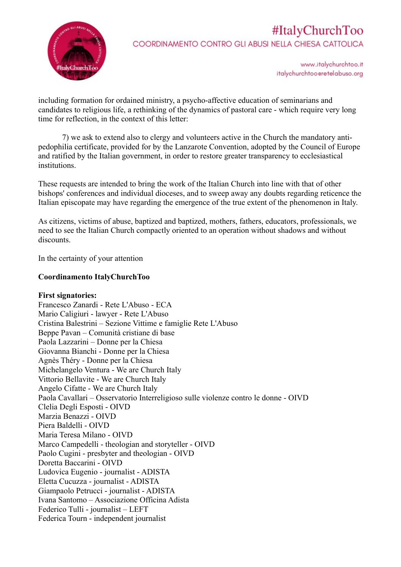

www.italychurchtoo.it italychurchtoo@retelabuso.org

including formation for ordained ministry, a psycho-affective education of seminarians and candidates to religious life, a rethinking of the dynamics of pastoral care - which require very long time for reflection, in the context of this letter:

7) we ask to extend also to clergy and volunteers active in the Church the mandatory antipedophilia certificate, provided for by the Lanzarote Convention, adopted by the Council of Europe and ratified by the Italian government, in order to restore greater transparency to ecclesiastical institutions.

These requests are intended to bring the work of the Italian Church into line with that of other bishops' conferences and individual dioceses, and to sweep away any doubts regarding reticence the Italian episcopate may have regarding the emergence of the true extent of the phenomenon in Italy.

As citizens, victims of abuse, baptized and baptized, mothers, fathers, educators, professionals, we need to see the Italian Church compactly oriented to an operation without shadows and without discounts.

In the certainty of your attention

#### **Coordinamento ItalyChurchToo**

**First signatories:** Francesco Zanardi - Rete L'Abuso - ECA Mario Caligiuri - lawyer - Rete L'Abuso Cristina Balestrini – Sezione Vittime e famiglie Rete L'Abuso Beppe Pavan – Comunità cristiane di base Paola Lazzarini – Donne per la Chiesa Giovanna Bianchi - Donne per la Chiesa Agnès Théry - Donne per la Chiesa Michelangelo Ventura - We are Church Italy Vittorio Bellavite - We are Church Italy Angelo Cifatte - We are Church Italy Paola Cavallari – Osservatorio Interreligioso sulle violenze contro le donne - OIVD Clelia Degli Esposti - OIVD Marzia Benazzi - OIVD Piera Baldelli - OIVD Maria Teresa Milano - OIVD Marco Campedelli - theologian and storyteller - OIVD Paolo Cugini - presbyter and theologian - OIVD Doretta Baccarini - OIVD Ludovica Eugenio - journalist - ADISTA Eletta Cucuzza - journalist - ADISTA Giampaolo Petrucci - journalist - ADISTA Ivana Santomo – Associazione Officina Adista Federico Tulli - journalist – LEFT Federica Tourn - independent journalist